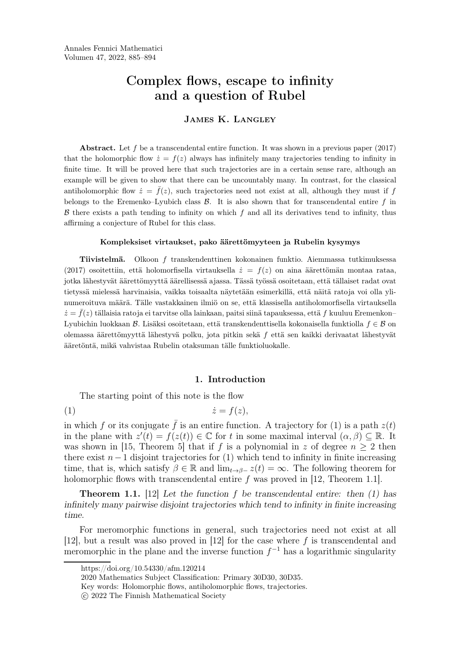# Complex flows, escape to infinity and a question of Rubel

# James K. Langley

Abstract. Let  $f$  be a transcendental entire function. It was shown in a previous paper  $(2017)$ that the holomorphic flow  $\dot{z} = f(z)$  always has infinitely many trajectories tending to infinity in finite time. It will be proved here that such trajectories are in a certain sense rare, although an example will be given to show that there can be uncountably many. In contrast, for the classical antiholomorphic flow  $\dot{z} = \bar{f}(z)$ , such trajectories need not exist at all, although they must if f belongs to the Eremenko–Lyubich class  $\beta$ . It is also shown that for transcendental entire f in  $\beta$  there exists a path tending to infinity on which f and all its derivatives tend to infinity, thus affirming a conjecture of Rubel for this class.

#### Kompleksiset virtaukset, pako äärettömyyteen ja Rubelin kysymys

Tiivistelmä. Olkoon f transkendenttinen kokonainen funktio. Aiemmassa tutkimuksessa (2017) osoitettiin, että holomorfisella virtauksella  $\dot{z} = f(z)$  on aina äärettömän montaa rataa, jotka lähestyvät äärettömyyttä äärellisessä ajassa. Tässä työssä osoitetaan, että tällaiset radat ovat tietyssä mielessä harvinaisia, vaikka toisaalta näytetään esimerkillä, että näitä ratoja voi olla ylinumeroituva määrä. Tälle vastakkainen ilmiö on se, että klassisella antiholomorfisella virtauksella  $\dot{z} = \bar{f}(z)$  tällaisia ratoja ei tarvitse olla lainkaan, paitsi siinä tapauksessa, että f kuuluu Eremenkon-Lyubichin luokkaan  $\beta$ . Lisäksi osoitetaan, että transkendenttisella kokonaisella funktiolla  $f \in \beta$  on olemassa äärettömyyttä lähestyvä polku, jota pitkin sekä f että sen kaikki derivaatat lähestyvät ääre[t](#page-0-0)[ö](#page-0-1)[n](#page-0-3)tä, mikä vahvistaa Rubelin otaksuman tälle funktioluokalle.

#### <span id="page-0-4"></span>1. Introduction

The starting point of this note is the flow

(1) z˙ = f(z),

in which f or its conjugate  $\bar{f}$  is an entire function. A trajectory for [\(1\)](#page-0-4) is a path  $z(t)$ in the plane with  $z'(t) = f(z(t)) \in \mathbb{C}$  for t in some maximal interval  $(\alpha, \beta) \subseteq \mathbb{R}$ . It was shown in [\[15,](#page-8-0) Theorem 5] that if f is a polynomial in z of degree  $n \geq 2$  then there exist  $n-1$  disjoint trajectories for [\(1\)](#page-0-4) which tend to infinity in finite increasing time, that is, which satisfy  $\beta \in \mathbb{R}$  and  $\lim_{t\to\beta-} z(t) = \infty$ . The following theorem for holomorphic flows with transcendental entire f was proved in  $[12,$  Theorem 1.1].

<span id="page-0-5"></span>**Theorem 1.1.** [\[12\]](#page-8-1) Let the function f be transcendental entire: then  $(1)$  has infinitely many pairwise disjoint trajectories which tend to infinity in finite increasing time.

For meromorphic functions in general, such trajectories need not exist at all [\[12\]](#page-8-1), but a result was also proved in [\[12\]](#page-8-1) for the case where f is transcendental and meromorphic in the plane and the inverse function  $f^{-1}$  has a logarithmic singularity

https://doi.org/10.54330/afm.120214

<span id="page-0-0"></span><sup>2020</sup> Mathematics Subject Classification: Primary 30D30, 30D35.

<span id="page-0-1"></span>Key words: Holomorphic flows, antiholomorphic flows, trajectories.

<span id="page-0-3"></span><span id="page-0-2"></span>c 2022 The Finnish Mathematical Society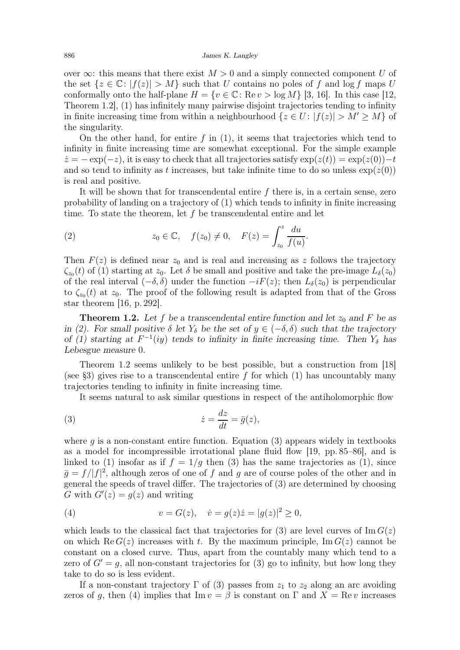over  $\infty$ : this means that there exist  $M > 0$  and a simply connected component U of the set  $\{z \in \mathbb{C} : |f(z)| > M\}$  such that U contains no poles of f and log f maps U conformally onto the half-plane  $H = \{v \in \mathbb{C} : \text{Re} \, v > \log M\}$  [\[3,](#page-8-2) [16\]](#page-9-0). In this case [\[12,](#page-8-1) Theorem 1.2], [\(1\)](#page-0-4) has infinitely many pairwise disjoint trajectories tending to infinity in finite increasing time from within a neighbourhood  $\{z \in U : |f(z)| > M' \ge M\}$  of the singularity.

On the other hand, for entire f in  $(1)$ , it seems that trajectories which tend to infinity in finite increasing time are somewhat exceptional. For the simple example  $\dot{z} = -\exp(-z)$ , it is easy to check that all trajectories satisfy  $\exp(z(t)) = \exp(z(0)) - t$ and so tend to infinity as t increases, but take infinite time to do so unless  $\exp(z(0))$ is real and positive.

It will be shown that for transcendental entire f there is, in a certain sense, zero probability of landing on a trajectory of [\(1\)](#page-0-4) which tends to infinity in finite increasing time. To state the theorem, let  $f$  be transcendental entire and let

<span id="page-1-0"></span>(2) 
$$
z_0 \in \mathbb{C}, \quad f(z_0) \neq 0, \quad F(z) = \int_{z_0}^z \frac{du}{f(u)}.
$$

Then  $F(z)$  is defined near  $z_0$  and is real and increasing as z follows the trajectory  $\zeta_{z_0}(t)$  of [\(1\)](#page-0-4) starting at  $z_0$ . Let  $\delta$  be small and positive and take the pre-image  $L_{\delta}(z_0)$ of the real interval  $(-\delta, \delta)$  under the function  $-iF(z)$ ; then  $L_{\delta}(z_0)$  is perpendicular to  $\zeta_{z_0}(t)$  at  $z_0$ . The proof of the following result is adapted from that of the Gross star theorem [\[16,](#page-9-0) p. 292].

<span id="page-1-1"></span>**Theorem 1.2.** Let f be a transcendental entire function and let  $z_0$  and F be as in [\(2\)](#page-1-0). For small positive  $\delta$  let  $Y_{\delta}$  be the set of  $y \in (-\delta, \delta)$  such that the trajectory of [\(1\)](#page-0-4) starting at  $F^{-1}(iy)$  tends to infinity in finite increasing time. Then  $Y_{\delta}$  has Lebesgue measure 0.

Theorem [1.2](#page-1-1) seems unlikely to be best possible, but a construction from [\[18\]](#page-9-1) (see [§3\)](#page-4-0) gives rise to a transcendental entire f for which  $(1)$  has uncountably many trajectories tending to infinity in finite increasing time.

<span id="page-1-2"></span>It seems natural to ask similar questions in respect of the antiholomorphic flow

(3) 
$$
\dot{z} = \frac{dz}{dt} = \bar{g}(z),
$$

where  $q$  is a non-constant entire function. Equation [\(3\)](#page-1-2) appears widely in textbooks as a model for incompressible irrotational plane fluid flow [\[19,](#page-9-2) pp. 85–86], and is linked to [\(1\)](#page-0-4) insofar as if  $f = 1/q$  then [\(3\)](#page-1-2) has the same trajectories as (1), since  $\bar{g} = f/|f|^2$ , although zeros of one of f and g are of course poles of the other and in general the speeds of travel differ. The trajectories of [\(3\)](#page-1-2) are determined by choosing G with  $G'(z) = g(z)$  and writing

<span id="page-1-3"></span>(4) 
$$
v = G(z), \quad \dot{v} = g(z)\dot{z} = |g(z)|^2 \ge 0,
$$

which leads to the classical fact that trajectories for [\(3\)](#page-1-2) are level curves of  $\text{Im } G(z)$ on which Re  $G(z)$  increases with t. By the maximum principle, Im  $G(z)$  cannot be constant on a closed curve. Thus, apart from the countably many which tend to a zero of  $G' = q$ , all non-constant trajectories for [\(3\)](#page-1-2) go to infinity, but how long they take to do so is less evident.

If a non-constant trajectory  $\Gamma$  of [\(3\)](#page-1-2) passes from  $z_1$  to  $z_2$  along an arc avoiding zeros of g, then [\(4\)](#page-1-3) implies that  $\text{Im } v = \beta$  is constant on  $\Gamma$  and  $X = \text{Re } v$  increases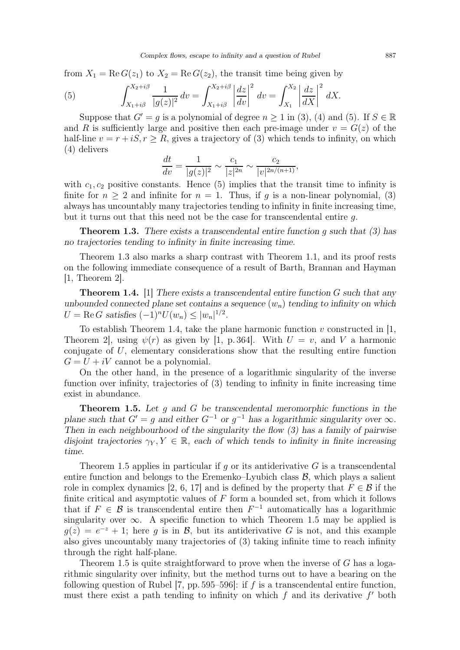from  $X_1 = \text{Re } G(z_1)$  to  $X_2 = \text{Re } G(z_2)$ , the transit time being given by

<span id="page-2-0"></span>(5) 
$$
\int_{X_1+i\beta}^{X_2+i\beta} \frac{1}{|g(z)|^2} dv = \int_{X_1+i\beta}^{X_2+i\beta} \left| \frac{dz}{dv} \right|^2 dv = \int_{X_1}^{X_2} \left| \frac{dz}{dX} \right|^2 dX.
$$

Suppose that  $G' = g$  is a polynomial of degree  $n \ge 1$  in [\(3\)](#page-1-2), [\(4\)](#page-1-3) and [\(5\)](#page-2-0). If  $S \in \mathbb{R}$ and R is sufficiently large and positive then each pre-image under  $v = G(z)$  of the half-line  $v = r + iS, r \ge R$ , gives a trajectory of [\(3\)](#page-1-2) which tends to infinity, on which [\(4\)](#page-1-3) delivers

$$
\frac{dt}{dv} = \frac{1}{|g(z)|^2} \sim \frac{c_1}{|z|^{2n}} \sim \frac{c_2}{|v|^{2n/(n+1)}},
$$

with  $c_1, c_2$  positive constants. Hence [\(5\)](#page-2-0) implies that the transit time to infinity is finite for  $n \geq 2$  and infinite for  $n = 1$ . Thus, if g is a non-linear polynomial, [\(3\)](#page-1-2) always has uncountably many trajectories tending to infinity in finite increasing time, but it turns out that this need not be the case for transcendental entire  $q$ .

<span id="page-2-1"></span>**Theorem 1.3.** There exists a transcendental entire function q such that  $(3)$  has no trajectories tending to infinity in finite increasing time.

Theorem [1.3](#page-2-1) also marks a sharp contrast with Theorem [1.1,](#page-0-5) and its proof rests on the following immediate consequence of a result of Barth, Brannan and Hayman [\[1,](#page-8-3) Theorem 2].

<span id="page-2-2"></span>**Theorem 1.4.** [\[1\]](#page-8-3) There exists a transcendental entire function  $G$  such that any unbounded connected plane set contains a sequence  $(w_n)$  tending to infinity on which  $U = \text{Re } G \text{ satisfies } (-1)^n U(w_n) \leq |w_n|^{1/2}.$ 

To establish Theorem [1.4,](#page-2-2) take the plane harmonic function  $v$  constructed in [\[1,](#page-8-3) Theorem 2, using  $\psi(r)$  as given by [\[1,](#page-8-3) p. 364]. With  $U = v$ , and V a harmonic conjugate of  $U$ , elementary considerations show that the resulting entire function  $G = U + iV$  cannot be a polynomial.

On the other hand, in the presence of a logarithmic singularity of the inverse function over infinity, trajectories of [\(3\)](#page-1-2) tending to infinity in finite increasing time exist in abundance.

<span id="page-2-3"></span>**Theorem 1.5.** Let  $g$  and  $G$  be transcendental meromorphic functions in the plane such that  $G' = g$  and either  $G^{-1}$  or  $g^{-1}$  has a logarithmic singularity over  $\infty$ . Then in each neighbourhood of the singularity the flow  $(3)$  has a family of pairwise disjoint trajectories  $\gamma_Y, Y \in \mathbb{R}$ , each of which tends to infinity in finite increasing time.

Theorem [1.5](#page-2-3) applies in particular if g or its antiderivative  $G$  is a transcendental entire function and belongs to the Eremenko–Lyubich class  $\mathcal{B}$ , which plays a salient role in complex dynamics [\[2,](#page-8-4) [6,](#page-8-5) [17\]](#page-9-3) and is defined by the property that  $F \in \mathcal{B}$  if the finite critical and asymptotic values of  $F$  form a bounded set, from which it follows that if  $F \in \mathcal{B}$  is transcendental entire then  $F^{-1}$  automatically has a logarithmic singularity over  $\infty$ . A specific function to which Theorem [1.5](#page-2-3) may be applied is  $g(z) = e^{-z} + 1$ ; here g is in B, but its antiderivative G is not, and this example also gives uncountably many trajectories of [\(3\)](#page-1-2) taking infinite time to reach infinity through the right half-plane.

Theorem [1.5](#page-2-3) is quite straightforward to prove when the inverse of  $G$  has a logarithmic singularity over infinity, but the method turns out to have a bearing on the following question of Rubel [\[7,](#page-8-6) pp. 595–596]: if f is a transcendental entire function, must there exist a path tending to infinity on which  $f$  and its derivative  $f'$  both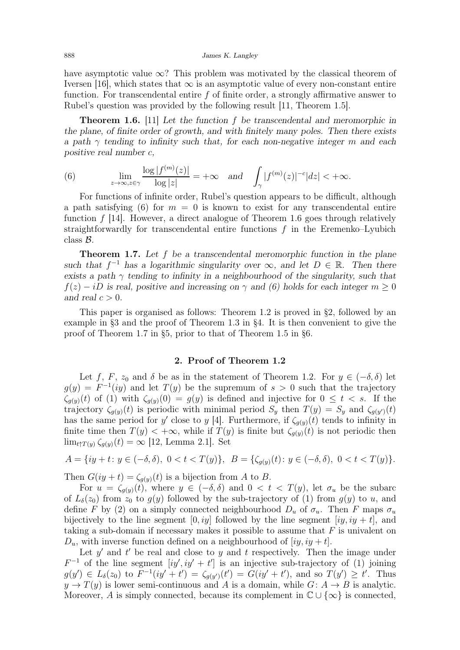have asymptotic value  $\infty$ ? This problem was motivated by the classical theorem of Iversen [\[16\]](#page-9-0), which states that  $\infty$  is an asymptotic value of every non-constant entire function. For transcendental entire  $f$  of finite order, a strongly affirmative answer to Rubel's question was provided by the following result [\[11,](#page-8-7) Theorem 1.5].

<span id="page-3-1"></span>Theorem 1.6. [\[11\]](#page-8-7) Let the function f be transcendental and meromorphic in the plane, of finite order of growth, and with finitely many poles. Then there exists a path  $\gamma$  tending to infinity such that, for each non-negative integer m and each positive real number c,

<span id="page-3-0"></span>(6) 
$$
\lim_{z \to \infty, z \in \gamma} \frac{\log |f^{(m)}(z)|}{\log |z|} = +\infty \quad \text{and} \quad \int_{\gamma} |f^{(m)}(z)|^{-c} |dz| < +\infty.
$$

For functions of infinite order, Rubel's question appears to be difficult, although a path satisfying [\(6\)](#page-3-0) for  $m = 0$  is known to exist for any transcendental entire function f [\[14\]](#page-8-8). However, a direct analogue of Theorem [1.6](#page-3-1) goes through relatively straightforwardly for transcendental entire functions  $f$  in the Eremenko–Lyubich class B.

<span id="page-3-3"></span>**Theorem 1.7.** Let  $f$  be a transcendental meromorphic function in the plane such that  $f^{-1}$  has a logarithmic singularity over  $\infty$ , and let  $D \in \mathbb{R}$ . Then there exists a path  $\gamma$  tending to infinity in a neighbourhood of the singularity, such that  $f(z) - iD$  is real, positive and increasing on  $\gamma$  and [\(6\)](#page-3-0) holds for each integer  $m \geq 0$ and real  $c > 0$ .

This paper is organised as follows: Theorem [1.2](#page-1-1) is proved in [§2,](#page-3-2) followed by an example in [§3](#page-4-0) and the proof of Theorem [1.3](#page-2-1) in [§4.](#page-5-0) It is then convenient to give the proof of Theorem [1.7](#page-3-3) in [§5,](#page-6-0) prior to that of Theorem [1.5](#page-2-3) in [§6.](#page-7-0)

### 2. Proof of Theorem [1.2](#page-1-1)

<span id="page-3-2"></span>Let f, F,  $z_0$  and  $\delta$  be as in the statement of Theorem [1.2.](#page-1-1) For  $y \in (-\delta, \delta)$  let  $g(y) = F^{-1}(iy)$  and let  $T(y)$  be the supremum of  $s > 0$  such that the trajectory  $\zeta_{g(y)}(t)$  of [\(1\)](#page-0-4) with  $\zeta_{g(y)}(0) = g(y)$  is defined and injective for  $0 \leq t < s$ . If the trajectory  $\zeta_{g(y)}(t)$  is periodic with minimal period  $S_y$  then  $T(y) = S_y$  and  $\zeta_{g(y)}(t)$ has the same period for y' close to y [\[4\]](#page-8-9). Furthermore, if  $\zeta_{g(y)}(t)$  tends to infinity in finite time then  $T(y) < +\infty$ , while if  $T(y)$  is finite but  $\zeta_{q(y)}(t)$  is not periodic then  $\lim_{t \uparrow T(y)} \zeta_{g(y)}(t) = \infty$  [\[12,](#page-8-1) Lemma 2.1]. Set

$$
A = \{ iy + t : y \in (-\delta, \delta), \ 0 < t < T(y) \}, \ \ B = \{ \zeta_{g(y)}(t) : y \in (-\delta, \delta), \ 0 < t < T(y) \}.
$$

Then  $G(iy + t) = \zeta_{q(y)}(t)$  is a bijection from A to B.

For  $u = \zeta_{q(y)}(t)$ , where  $y \in (-\delta, \delta)$  and  $0 < t < T(y)$ , let  $\sigma_u$  be the subarc of  $L_{\delta}(z_0)$  from  $z_0$  to  $g(y)$  followed by the sub-trajectory of [\(1\)](#page-0-4) from  $g(y)$  to u, and define F by [\(2\)](#page-1-0) on a simply connected neighbourhood  $D_u$  of  $\sigma_u$ . Then F maps  $\sigma_u$ bijectively to the line segment  $[0, iy]$  followed by the line segment  $[iy, iy + t]$ , and taking a sub-domain if necessary makes it possible to assume that  $F$  is univalent on  $D_u$ , with inverse function defined on a neighbourhood of  $(iy, iy + t]$ .

Let  $y'$  and  $t'$  be real and close to  $y$  and  $t$  respectively. Then the image under  $F^{-1}$  of the line segment  $[iy', iy' + t']$  is an injective sub-trajectory of [\(1\)](#page-0-4) joining  $g(y') \in L_{\delta}(z_0)$  to  $F^{-1}(iy' + t') = \zeta_{g(y')}(t') = G(iy' + t')$ , and so  $T(y') \ge t'$ . Thus  $y \to T(y)$  is lower semi-continuous and A is a domain, while  $G: A \to B$  is analytic. Moreover, A is simply connected, because its complement in  $\mathbb{C} \cup \{\infty\}$  is connected,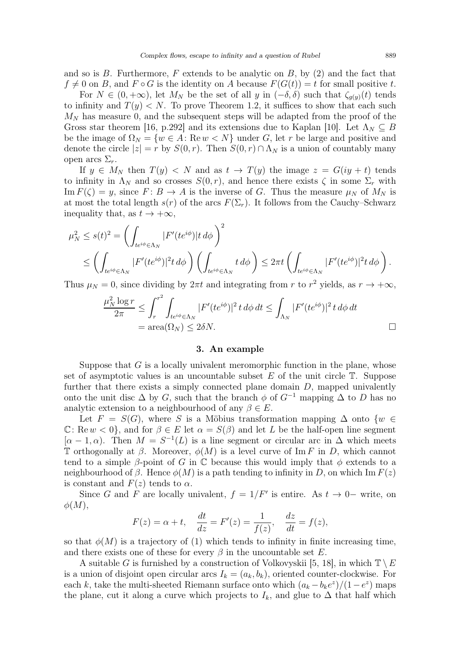and so is  $B$ . Furthermore,  $F$  extends to be analytic on  $B$ , by  $(2)$  and the fact that  $f \neq 0$  on B, and  $F \circ G$  is the identity on A because  $F(G(t)) = t$  for small positive t.

For  $N \in (0, +\infty)$ , let  $M_N$  be the set of all y in  $(-\delta, \delta)$  such that  $\zeta_{g(y)}(t)$  tends to infinity and  $T(y) < N$ . To prove Theorem [1.2,](#page-1-1) it suffices to show that each such  $M_N$  has measure 0, and the subsequent steps will be adapted from the proof of the Gross star theorem [\[16,](#page-9-0) p.292] and its extensions due to Kaplan [\[10\]](#page-8-10). Let  $\Lambda_N \subseteq B$ be the image of  $\Omega_N = \{w \in A : \text{Re } w < N\}$  under G, let r be large and positive and denote the circle  $|z| = r$  by  $S(0, r)$ . Then  $S(0, r) \cap \Lambda_N$  is a union of countably many open arcs  $\Sigma_r$ .

If  $y \in M_N$  then  $T(y) < N$  and as  $t \to T(y)$  the image  $z = G(iy + t)$  tends to infinity in  $\Lambda_N$  and so crosses  $S(0, r)$ , and hence there exists  $\zeta$  in some  $\Sigma_r$  with Im  $F(\zeta) = y$ , since  $F: B \to A$  is the inverse of G. Thus the measure  $\mu_N$  of  $M_N$  is at most the total length  $s(r)$  of the arcs  $F(\Sigma_r)$ . It follows from the Cauchy–Schwarz inequality that, as  $t \to +\infty$ ,

$$
\mu_N^2 \le s(t)^2 = \left( \int_{te^{i\phi} \in \Lambda_N} |F'(te^{i\phi})|t \, d\phi \right)^2
$$
  

$$
\le \left( \int_{te^{i\phi} \in \Lambda_N} |F'(te^{i\phi})|^2 t \, d\phi \right) \left( \int_{te^{i\phi} \in \Lambda_N} t \, d\phi \right) \le 2\pi t \left( \int_{te^{i\phi} \in \Lambda_N} |F'(te^{i\phi})|^2 t \, d\phi \right).
$$

Thus  $\mu_N = 0$ , since dividing by  $2\pi t$  and integrating from r to  $r^2$  yields, as  $r \to +\infty$ ,

$$
\frac{\mu_N^2 \log r}{2\pi} \le \int_r^{r^2} \int_{te^{i\phi} \in \Lambda_N} |F'(te^{i\phi})|^2 t \, d\phi \, dt \le \int_{\Lambda_N} |F'(te^{i\phi})|^2 t \, d\phi \, dt
$$
  
= area( $\Omega_N$ )  $\le 2\delta N$ .

#### 3. An example

<span id="page-4-0"></span>Suppose that  $G$  is a locally univalent meromorphic function in the plane, whose set of asymptotic values is an uncountable subset  $E$  of the unit circle  $\mathbb T$ . Suppose further that there exists a simply connected plane domain  $D$ , mapped univalently onto the unit disc  $\Delta$  by G, such that the branch  $\phi$  of  $G^{-1}$  mapping  $\Delta$  to D has no analytic extension to a neighbourhood of any  $\beta \in E$ .

Let  $F = S(G)$ , where S is a Möbius transformation mapping  $\Delta$  onto  $\{w \in$  $\mathbb{C}$ : Rew  $\langle 0 \rangle$ , and for  $\beta \in E$  let  $\alpha = S(\beta)$  and let L be the half-open line segment  $[\alpha - 1, \alpha)$ . Then  $M = S^{-1}(L)$  is a line segment or circular arc in  $\Delta$  which meets T orthogonally at  $\beta$ . Moreover,  $\phi(M)$  is a level curve of Im F in D, which cannot tend to a simple  $\beta$ -point of G in C because this would imply that  $\phi$  extends to a neighbourhood of  $\beta$ . Hence  $\phi(M)$  is a path tending to infinity in D, on which Im  $F(z)$ is constant and  $F(z)$  tends to  $\alpha$ .

Since G and F are locally univalent,  $f = 1/F'$  is entire. As  $t \to 0-$  write, on  $\phi(M),$ 

$$
F(z) = \alpha + t, \quad \frac{dt}{dz} = F'(z) = \frac{1}{f(z)}, \quad \frac{dz}{dt} = f(z),
$$

so that  $\phi(M)$  is a trajectory of [\(1\)](#page-0-4) which tends to infinity in finite increasing time, and there exists one of these for every  $\beta$  in the uncountable set E.

A suitable G is furnished by a construction of Volkovyskii [\[5,](#page-8-11) [18\]](#page-9-1), in which  $\mathbb{T} \setminus E$ is a union of disjoint open circular arcs  $I_k = (a_k, b_k)$ , oriented counter-clockwise. For each k, take the multi-sheeted Riemann surface onto which  $(a_k - b_k e^z)/(1 - e^z)$  maps the plane, cut it along a curve which projects to  $I_k$ , and glue to  $\Delta$  that half which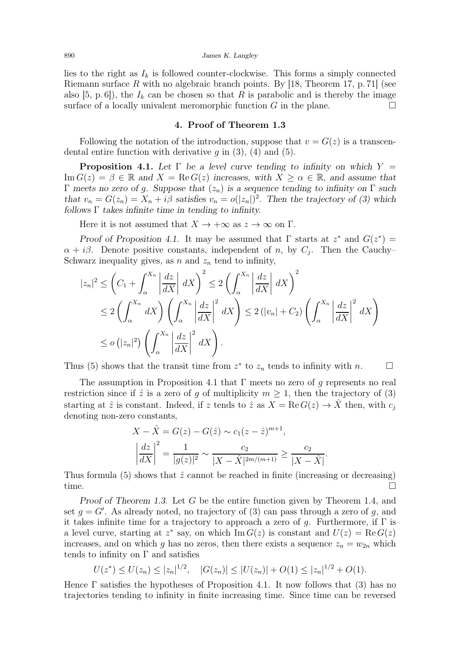lies to the right as  $I_k$  is followed counter-clockwise. This forms a simply connected Riemann surface R with no algebraic branch points. By [\[18,](#page-9-1) Theorem 17, p. 71] (see also [\[5,](#page-8-11) p. 6]), the  $I_k$  can be chosen so that R is parabolic and is thereby the image surface of a locally univalent meromorphic function G in the plane.

### 4. Proof of Theorem [1.3](#page-2-1)

<span id="page-5-0"></span>Following the notation of the introduction, suppose that  $v = G(z)$  is a transcendental entire function with derivative  $g$  in [\(3\)](#page-1-2), [\(4\)](#page-1-3) and [\(5\)](#page-2-0).

<span id="page-5-1"></span>**Proposition 4.1.** Let  $\Gamma$  be a level curve tending to infinity on which  $Y =$ Im  $G(z) = \beta \in \mathbb{R}$  and  $X = \text{Re } G(z)$  increases, with  $X \ge \alpha \in \mathbb{R}$ , and assume that Γ meets no zero of g. Suppose that  $(z_n)$  is a sequence tending to infinity on Γ such that  $v_n = G(z_n) = X_n + i\beta$  satisfies  $v_n = o(|z_n|)^2$ . Then the trajectory of [\(3\)](#page-1-2) which follows  $\Gamma$  takes infinite time in tending to infinity.

Here it is not assumed that  $X \to +\infty$  as  $z \to \infty$  on  $\Gamma$ .

Proof of Proposition [4.1.](#page-5-1) It may be assumed that  $\Gamma$  starts at  $z^*$  and  $G(z^*) =$  $\alpha + i\beta$ . Denote positive constants, independent of n, by  $C_j$ . Then the Cauchy-Schwarz inequality gives, as  $n$  and  $z_n$  tend to infinity,

$$
|z_n|^2 \leq \left(C_1 + \int_{\alpha}^{X_n} \left| \frac{dz}{dX} \right| dX\right)^2 \leq 2\left(\int_{\alpha}^{X_n} \left| \frac{dz}{dX} \right| dX\right)^2
$$
  
\n
$$
\leq 2\left(\int_{\alpha}^{X_n} dX\right) \left(\int_{\alpha}^{X_n} \left| \frac{dz}{dX} \right|^{2} dX\right) \leq 2\left(|v_n| + C_2\right) \left(\int_{\alpha}^{X_n} \left| \frac{dz}{dX} \right|^{2} dX\right)
$$
  
\n
$$
\leq o\left(|z_n|^2\right) \left(\int_{\alpha}^{X_n} \left| \frac{dz}{dX} \right|^{2} dX\right).
$$

Thus [\(5\)](#page-2-0) shows that the transit time from  $z^*$  to  $z_n$  tends to infinity with n.  $\Box$ 

The assumption in Proposition [4.1](#page-5-1) that  $\Gamma$  meets no zero of g represents no real restriction since if  $\hat{z}$  is a zero of q of multiplicity  $m \geq 1$ , then the trajectory of [\(3\)](#page-1-2) starting at  $\hat{z}$  is constant. Indeed, if z tends to  $\hat{z}$  as  $X = \text{Re } G(z) \to \hat{X}$  then, with  $c_i$ denoting non-zero constants,

$$
X - \hat{X} = G(z) - G(\hat{z}) \sim c_1(z - \hat{z})^{m+1},
$$

$$
\left| \frac{dz}{dX} \right|^2 = \frac{1}{|g(z)|^2} \sim \frac{c_2}{|X - \hat{X}|^{2m/(m+1)}} \ge \frac{c_2}{|X - \hat{X}|}.
$$

Thus formula [\(5\)](#page-2-0) shows that  $\hat{z}$  cannot be reached in finite (increasing or decreasing) time.  $\square$ 

Proof of Theorem [1.3.](#page-2-1) Let G be the entire function given by Theorem [1.4,](#page-2-2) and set  $g = G'$ . As already noted, no trajectory of  $(3)$  can pass through a zero of g, and it takes infinite time for a trajectory to approach a zero of  $q$ . Furthermore, if  $\Gamma$  is a level curve, starting at  $z^*$  say, on which Im  $G(z)$  is constant and  $U(z) = \text{Re } G(z)$ increases, and on which g has no zeros, then there exists a sequence  $z_n = w_{2n}$  which tends to infinity on  $\Gamma$  and satisfies

$$
U(z^*) \le U(z_n) \le |z_n|^{1/2}, \quad |G(z_n)| \le |U(z_n)| + O(1) \le |z_n|^{1/2} + O(1).
$$

Hence Γ satisfies the hypotheses of Proposition [4.1.](#page-5-1) It now follows that [\(3\)](#page-1-2) has no trajectories tending to infinity in finite increasing time. Since time can be reversed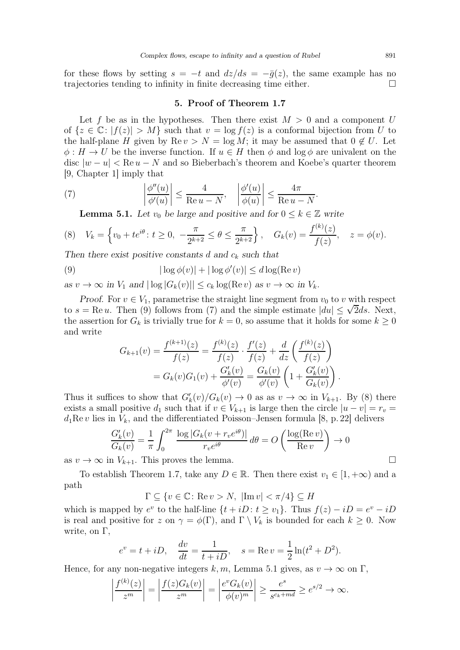<span id="page-6-0"></span>for these flows by setting  $s = -t$  and  $dz/ds = -\bar{g}(z)$ , the same example has no trajectories tending to infinity in finite decreasing time either. trajectories tending to infinity in finite decreasing time either.

#### 5. Proof of Theorem [1.7](#page-3-3)

Let f be as in the hypotheses. Then there exist  $M > 0$  and a component U of  $\{z \in \mathbb{C}: |f(z)| > M\}$  such that  $v = \log f(z)$  is a conformal bijection from U to the half-plane H given by  $\text{Re } v > N = \log M$ ; it may be assumed that  $0 \notin U$ . Let  $\phi: H \to U$  be the inverse function. If  $u \in H$  then  $\phi$  and log  $\phi$  are univalent on the disc  $|w - u| < \text{Re } u - N$  and so Bieberbach's theorem and Koebe's quarter theorem [\[9,](#page-8-12) Chapter 1] imply that

.

(7) 
$$
\left|\frac{\phi''(u)}{\phi'(u)}\right| \le \frac{4}{\text{Re }u - N}, \quad \left|\frac{\phi'(u)}{\phi(u)}\right| \le \frac{4\pi}{\text{Re }u - N}
$$

<span id="page-6-4"></span><span id="page-6-3"></span><span id="page-6-2"></span>**Lemma 5.1.** Let  $v_0$  be large and positive and for  $0 \leq k \in \mathbb{Z}$  write

$$
(8) \quad V_k = \left\{ v_0 + t e^{i\theta} \colon t \ge 0, \ -\frac{\pi}{2^{k+2}} \le \theta \le \frac{\pi}{2^{k+2}} \right\}, \quad G_k(v) = \frac{f^{(k)}(z)}{f(z)}, \quad z = \phi(v).
$$

Then there exist positive constants d and  $c_k$  such that

(9) 
$$
|\log \phi(v)| + |\log \phi'(v)| \leq d \log(\text{Re } v)
$$

as  $v \to \infty$  in  $V_1$  and  $|\log |G_k(v)| \leq c_k \log(\text{Re } v)$  as  $v \to \infty$  in  $V_k$ .

Proof. For  $v \in V_1$ , parametrise the straight line segment from  $v_0$  to v with respect to  $s = \text{Re } u$ . Then [\(9\)](#page-6-1) follows from [\(7\)](#page-6-2) and the simple estimate  $|du| \leq \sqrt{2}ds$ . Next, the assertion for  $G_k$  is trivially true for  $k = 0$ , so assume that it holds for some  $k \geq 0$ and write

<span id="page-6-1"></span>
$$
G_{k+1}(v) = \frac{f^{(k+1)}(z)}{f(z)} = \frac{f^{(k)}(z)}{f(z)} \cdot \frac{f'(z)}{f(z)} + \frac{d}{dz} \left(\frac{f^{(k)}(z)}{f(z)}\right)
$$
  
=  $G_k(v)G_1(v) + \frac{G'_k(v)}{\phi'(v)} = \frac{G_k(v)}{\phi'(v)} \left(1 + \frac{G'_k(v)}{G_k(v)}\right).$ 

Thus it suffices to show that  $G'_{k}(v)/G_{k}(v) \to 0$  as as  $v \to \infty$  in  $V_{k+1}$ . By [\(8\)](#page-6-3) there exists a small positive  $d_1$  such that if  $v \in V_{k+1}$  is large then the circle  $|u - v| = r_v$  $d_1$ Re v lies in  $V_k$ , and the differentiated Poisson–Jensen formula [\[8,](#page-8-13) p. 22] delivers

$$
\frac{G'_k(v)}{G_k(v)} = \frac{1}{\pi} \int_0^{2\pi} \frac{\log |G_k(v + r_v e^{i\theta})|}{r_v e^{i\theta}} d\theta = O\left(\frac{\log(\text{Re}\, v)}{\text{Re}\, v}\right) \to 0
$$

as  $v \to \infty$  in  $V_{k+1}$ . This proves the lemma.

To establish Theorem [1.7,](#page-3-3) take any  $D \in \mathbb{R}$ . Then there exist  $v_1 \in [1, +\infty)$  and a path

 $\Gamma \subseteq \{v \in \mathbb{C} \colon \text{Re}\, v > N, \ |\text{Im}\, v| < \pi/4 \} \subseteq H$ 

which is mapped by  $e^v$  to the half-line  $\{t + iD : t \ge v_1\}$ . Thus  $f(z) - iD = e^v - iD$ is real and positive for z on  $\gamma = \phi(\Gamma)$ , and  $\Gamma \setminus V_k$  is bounded for each  $k \geq 0$ . Now write, on  $\Gamma$ ,

$$
e^v = t + iD
$$
,  $\frac{dv}{dt} = \frac{1}{t + iD}$ ,  $s = \text{Re } v = \frac{1}{2} \ln(t^2 + D^2)$ .

Hence, for any non-negative integers k, m, Lemma [5.1](#page-6-4) gives, as  $v \to \infty$  on  $\Gamma$ ,

$$
\left|\frac{f^{(k)}(z)}{z^m}\right| = \left|\frac{f(z)G_k(v)}{z^m}\right| = \left|\frac{e^v G_k(v)}{\phi(v)^m}\right| \ge \frac{e^s}{s^{c_k+md}} \ge e^{s/2} \to \infty.
$$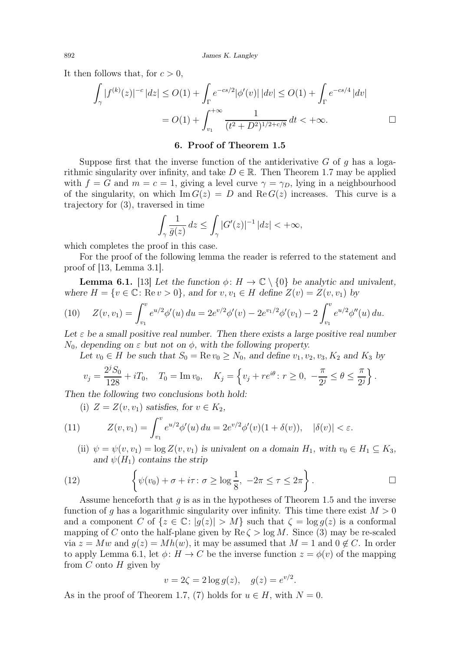It then follows that, for  $c > 0$ ,

$$
\int_{\gamma} |f^{(k)}(z)|^{-c} |dz| \le O(1) + \int_{\Gamma} e^{-cs/2} |\phi'(v)| |dv| \le O(1) + \int_{\Gamma} e^{-cs/4} |dv|
$$
  
=  $O(1) + \int_{v_1}^{+\infty} \frac{1}{(t^2 + D^2)^{1/2 + c/8}} dt < +\infty.$ 

## 6. Proof of Theorem [1.5](#page-2-3)

<span id="page-7-0"></span>Suppose first that the inverse function of the antiderivative  $G$  of  $g$  has a logarithmic singularity over infinity, and take  $D \in \mathbb{R}$ . Then Theorem [1.7](#page-3-3) may be applied with  $f = G$  and  $m = c = 1$ , giving a level curve  $\gamma = \gamma_D$ , lying in a neighbourhood of the singularity, on which  $\text{Im } G(z) = D$  and  $\text{Re } G(z)$  increases. This curve is a trajectory for [\(3\)](#page-1-2), traversed in time

$$
\int_{\gamma} \frac{1}{\bar{g}(z)} dz \le \int_{\gamma} |G'(z)|^{-1} |dz| < +\infty,
$$

which completes the proof in this case.

For the proof of the following lemma the reader is referred to the statement and proof of [\[13,](#page-8-14) Lemma 3.1].

<span id="page-7-1"></span>**Lemma 6.1.** [\[13\]](#page-8-14) Let the function  $\phi: H \to \mathbb{C} \setminus \{0\}$  be analytic and univalent, where  $H = \{v \in \mathbb{C} : \text{Re}\,v > 0\}$ , and for  $v, v_1 \in H$  define  $Z(v) = Z(v, v_1)$  by

(10) 
$$
Z(v, v_1) = \int_{v_1}^v e^{u/2} \phi'(u) du = 2e^{v/2} \phi'(v) - 2e^{v_1/2} \phi'(v_1) - 2 \int_{v_1}^v e^{u/2} \phi''(u) du.
$$

Let  $\varepsilon$  be a small positive real number. Then there exists a large positive real number  $N_0$ , depending on  $\varepsilon$  but not on  $\phi$ , with the following property.

Let  $v_0 \in H$  be such that  $S_0 = \text{Re } v_0 \geq N_0$ , and define  $v_1, v_2, v_3, K_2$  and  $K_3$  by

$$
v_j = \frac{2^j S_0}{128} + iT_0
$$
,  $T_0 = \text{Im } v_0$ ,  $K_j = \left\{ v_j + re^{i\theta} : r \ge 0, -\frac{\pi}{2^j} \le \theta \le \frac{\pi}{2^j} \right\}$ .

Then the following two conclusions both hold:

<span id="page-7-3"></span>(i)  $Z = Z(v, v_1)$  satisfies, for  $v \in K_2$ ,

(11) 
$$
Z(v, v_1) = \int_{v_1}^v e^{u/2} \phi'(u) du = 2e^{v/2} \phi'(v) (1 + \delta(v)), \quad |\delta(v)| < \varepsilon.
$$

<span id="page-7-2"></span>(ii)  $\psi = \psi(v, v_1) = \log Z(v, v_1)$  is univalent on a domain  $H_1$ , with  $v_0 \in H_1 \subseteq K_3$ , and  $\psi(H_1)$  contains the strip

(12) 
$$
\left\{\psi(v_0) + \sigma + i\tau : \sigma \ge \log \frac{1}{8}, -2\pi \le \tau \le 2\pi\right\}.
$$

Assume henceforth that q is as in the hypotheses of Theorem [1.5](#page-2-3) and the inverse function of g has a logarithmic singularity over infinity. This time there exist  $M > 0$ and a component C of  $\{z \in \mathbb{C} : |q(z)| > M\}$  such that  $\zeta = \log q(z)$  is a conformal mapping of C onto the half-plane given by  $\text{Re}\,\zeta > \log M$ . Since [\(3\)](#page-1-2) may be re-scaled via  $z = Mw$  and  $g(z) = Mh(w)$ , it may be assumed that  $M = 1$  and  $0 \notin C$ . In order to apply Lemma [6.1,](#page-7-1) let  $\phi: H \to C$  be the inverse function  $z = \phi(v)$  of the mapping from  $C$  onto  $H$  given by

$$
v = 2\zeta = 2\log g(z), \quad g(z) = e^{v/2}.
$$

As in the proof of Theorem [1.7,](#page-3-3) [\(7\)](#page-6-2) holds for  $u \in H$ , with  $N = 0$ .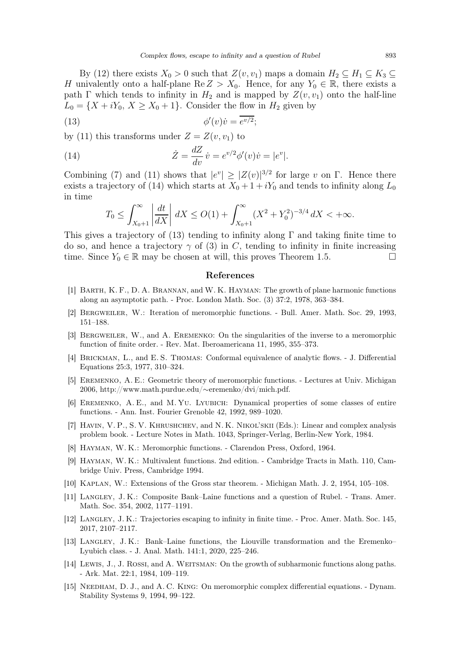By [\(12\)](#page-7-2) there exists  $X_0 > 0$  such that  $Z(v, v_1)$  maps a domain  $H_2 \subseteq H_1 \subseteq K_3 \subseteq$ H univalently onto a half-plane  $\text{Re } Z > X_0$ . Hence, for any  $Y_0 \in \mathbb{R}$ , there exists a path Γ which tends to infinity in  $H_2$  and is mapped by  $Z(v, v_1)$  onto the half-line  $L_0 = \{X + iY_0, X \ge X_0 + 1\}$ . Consider the flow in  $H_2$  given by

(13) 
$$
\phi'(v)\dot{v} = \overline{e^{v/2}};
$$

by [\(11\)](#page-7-3) this transforms under  $Z = Z(v, v_1)$  to

(14) 
$$
\dot{Z} = \frac{dZ}{dv}\dot{v} = e^{v/2}\phi'(v)\dot{v} = |e^v|.
$$

Combining [\(7\)](#page-6-2) and [\(11\)](#page-7-3) shows that  $|e^v| \geq |Z(v)|^{3/2}$  for large v on Γ. Hence there exists a trajectory of [\(14\)](#page-8-15) which starts at  $X_0 + 1 + iY_0$  and tends to infinity along  $L_0$ in time

<span id="page-8-16"></span><span id="page-8-15"></span>
$$
T_0 \le \int_{X_0+1}^{\infty} \left| \frac{dt}{dX} \right| dX \le O(1) + \int_{X_0+1}^{\infty} (X^2 + Y_0^2)^{-3/4} dX < +\infty.
$$

This gives a trajectory of [\(13\)](#page-8-16) tending to infinity along  $\Gamma$  and taking finite time to do so, and hence a trajectory  $\gamma$  of [\(3\)](#page-1-2) in C, tending to infinity in finite increasing time. Since  $Y_0 \in \mathbb{R}$  may be chosen at will, this proves Theorem [1.5.](#page-2-3)

## References

- <span id="page-8-4"></span><span id="page-8-3"></span>[1] Barth, K. F., D. A. Brannan, and W. K. Hayman: The growth of plane harmonic functions along an asymptotic path. - Proc. London Math. Soc. (3) 37:2, 1978, 363–384.
- <span id="page-8-2"></span>[2] Bergweiler, W.: Iteration of meromorphic functions. - Bull. Amer. Math. Soc. 29, 1993, 151–188.
- <span id="page-8-9"></span>[3] Bergweiler, W., and A. Eremenko: On the singularities of the inverse to a meromorphic function of finite order. - Rev. Mat. Iberoamericana 11, 1995, 355–373.
- <span id="page-8-11"></span>[4] BRICKMAN, L., and E.S. THOMAS: Conformal equivalence of analytic flows. - J. Differential Equations 25:3, 1977, 310–324.
- <span id="page-8-5"></span>[5] Eremenko, A. E.: Geometric theory of meromorphic functions. - Lectures at Univ. Michigan 2006, http://www.math.purdue.edu/∼eremenko/dvi/mich.pdf.
- <span id="page-8-6"></span>[6] Eremenko, A. E., and M. Yu. Lyubich: Dynamical properties of some classes of entire functions. - Ann. Inst. Fourier Grenoble 42, 1992, 989–1020.
- <span id="page-8-13"></span>[7] HAVIN, V. P., S. V. KHRUSHCHEV, and N. K. NIKOL'SKII (Eds.): Linear and complex analysis problem book. - Lecture Notes in Math. 1043, Springer-Verlag, Berlin-New York, 1984.
- <span id="page-8-12"></span>[8] Hayman, W. K.: Meromorphic functions. - Clarendon Press, Oxford, 1964.
- <span id="page-8-10"></span>[9] Hayman, W. K.: Multivalent functions. 2nd edition. - Cambridge Tracts in Math. 110, Cambridge Univ. Press, Cambridge 1994.
- <span id="page-8-7"></span>[10] Kaplan, W.: Extensions of the Gross star theorem. - Michigan Math. J. 2, 1954, 105–108.
- <span id="page-8-1"></span>[11] Langley, J. K.: Composite Bank–Laine functions and a question of Rubel. - Trans. Amer. Math. Soc. 354, 2002, 1177–1191.
- <span id="page-8-14"></span>[12] Langley, J. K.: Trajectories escaping to infinity in finite time. - Proc. Amer. Math. Soc. 145, 2017, 2107–2117.
- <span id="page-8-8"></span>[13] Langley, J. K.: Bank–Laine functions, the Liouville transformation and the Eremenko– Lyubich class. - J. Anal. Math. 141:1, 2020, 225–246.
- <span id="page-8-0"></span>[14] LEWIS, J., J. ROSSI, and A. WEITSMAN: On the growth of subharmonic functions along paths. - Ark. Mat. 22:1, 1984, 109–119.
- [15] NEEDHAM, D. J., and A. C. KING: On meromorphic complex differential equations. Dynam. Stability Systems 9, 1994, 99–122.